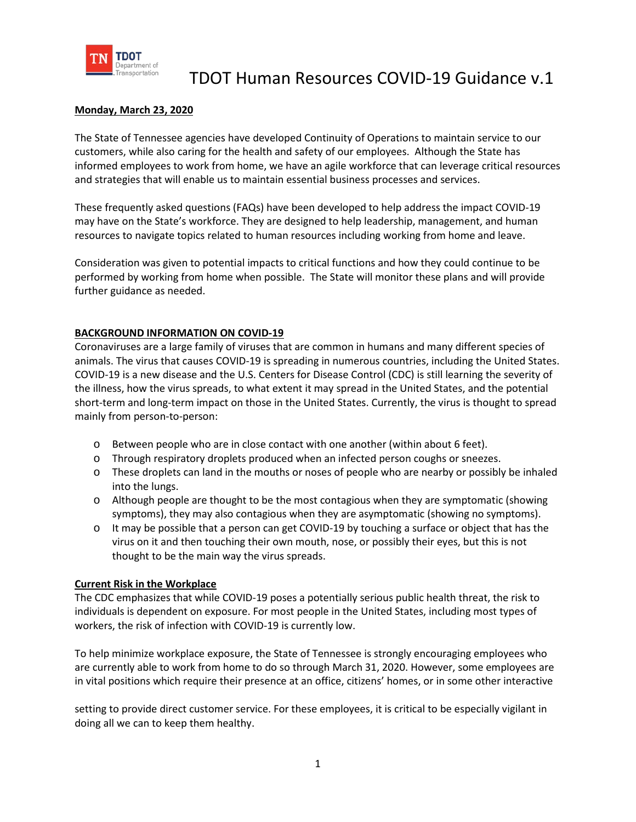

#### **Monday, March 23, 2020**

The State of Tennessee agencies have developed Continuity of Operations to maintain service to our customers, while also caring for the health and safety of our employees. Although the State has informed employees to work from home, we have an agile workforce that can leverage critical resources and strategies that will enable us to maintain essential business processes and services.

These frequently asked questions (FAQs) have been developed to help address the impact COVID-19 may have on the State's workforce. They are designed to help leadership, management, and human resources to navigate topics related to human resources including working from home and leave.

Consideration was given to potential impacts to critical functions and how they could continue to be performed by working from home when possible. The State will monitor these plans and will provide further guidance as needed.

#### **BACKGROUND INFORMATION ON COVID-19**

Coronaviruses are a large family of viruses that are common in humans and many different species of animals. The virus that causes COVID-19 is spreading in numerous countries, including the United States. COVID-19 is a new disease and the U.S. Centers for Disease Control (CDC) is still learning the severity of the illness, how the virus spreads, to what extent it may spread in the United States, and the potential short-term and long-term impact on those in the United States. Currently, the virus is thought to spread mainly from person-to-person:

- o Between people who are in close contact with one another (within about 6 feet).
- o Through respiratory droplets produced when an infected person coughs or sneezes.
- o These droplets can land in the mouths or noses of people who are nearby or possibly be inhaled into the lungs.
- o Although people are thought to be the most contagious when they are symptomatic (showing symptoms), they may also contagious when they are asymptomatic (showing no symptoms).
- $\circ$  It may be possible that a person can get COVID-19 by touching a surface or object that has the virus on it and then touching their own mouth, nose, or possibly their eyes, but this is not thought to be the main way the virus spreads.

#### **Current Risk in the Workplace**

The CDC emphasizes that while COVID-19 poses a potentially serious public health threat, the risk to individuals is dependent on exposure. For most people in the United States, including most types of workers, the risk of infection with COVID-19 is currently low.

To help minimize workplace exposure, the State of Tennessee is strongly encouraging employees who are currently able to work from home to do so through March 31, 2020. However, some employees are in vital positions which require their presence at an office, citizens' homes, or in some other interactive

setting to provide direct customer service. For these employees, it is critical to be especially vigilant in doing all we can to keep them healthy.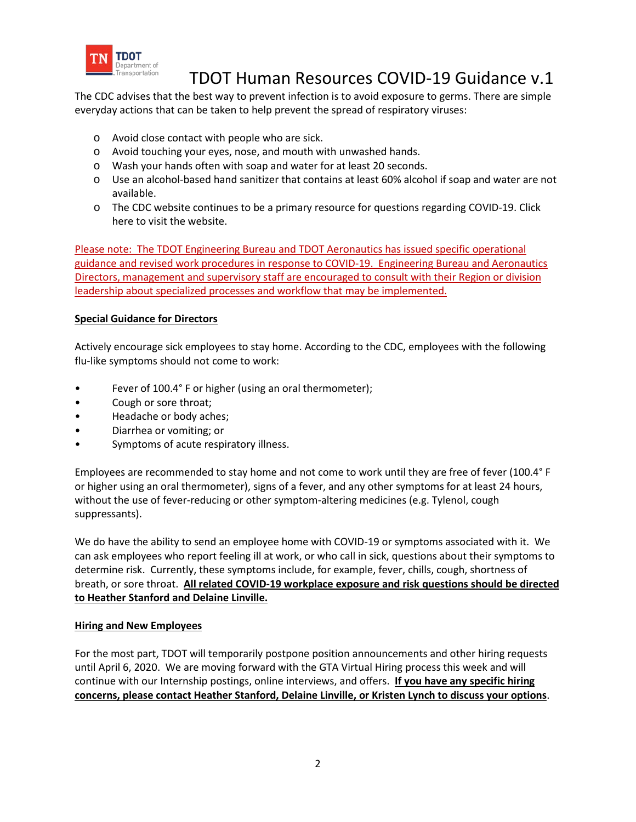

The CDC advises that the best way to prevent infection is to avoid exposure to germs. There are simple everyday actions that can be taken to help prevent the spread of respiratory viruses:

- o Avoid close contact with people who are sick.
- o Avoid touching your eyes, nose, and mouth with unwashed hands.
- o Wash your hands often with soap and water for at least 20 seconds.
- o Use an alcohol-based hand sanitizer that contains at least 60% alcohol if soap and water are not available.
- o The CDC website continues to be a primary resource for questions regarding COVID-19. Click here to visit the website.

Please note: The TDOT Engineering Bureau and TDOT Aeronautics has issued specific operational guidance and revised work procedures in response to COVID-19. Engineering Bureau and Aeronautics Directors, management and supervisory staff are encouraged to consult with their Region or division leadership about specialized processes and workflow that may be implemented.

### **Special Guidance for Directors**

Actively encourage sick employees to stay home. According to the CDC, employees with the following flu-like symptoms should not come to work:

- Fever of 100.4° F or higher (using an oral thermometer);
- Cough or sore throat;
- Headache or body aches;
- Diarrhea or vomiting; or
- Symptoms of acute respiratory illness.

Employees are recommended to stay home and not come to work until they are free of fever (100.4° F or higher using an oral thermometer), signs of a fever, and any other symptoms for at least 24 hours, without the use of fever-reducing or other symptom-altering medicines (e.g. Tylenol, cough suppressants).

We do have the ability to send an employee home with COVID-19 or symptoms associated with it. We can ask employees who report feeling ill at work, or who call in sick, questions about their symptoms to determine risk. Currently, these symptoms include, for example, fever, chills, cough, shortness of breath, or sore throat. **All related COVID-19 workplace exposure and risk questions should be directed to Heather Stanford and Delaine Linville.**

#### **Hiring and New Employees**

For the most part, TDOT will temporarily postpone position announcements and other hiring requests until April 6, 2020. We are moving forward with the GTA Virtual Hiring process this week and will continue with our Internship postings, online interviews, and offers. **If you have any specific hiring concerns, please contact Heather Stanford, Delaine Linville, or Kristen Lynch to discuss your options**.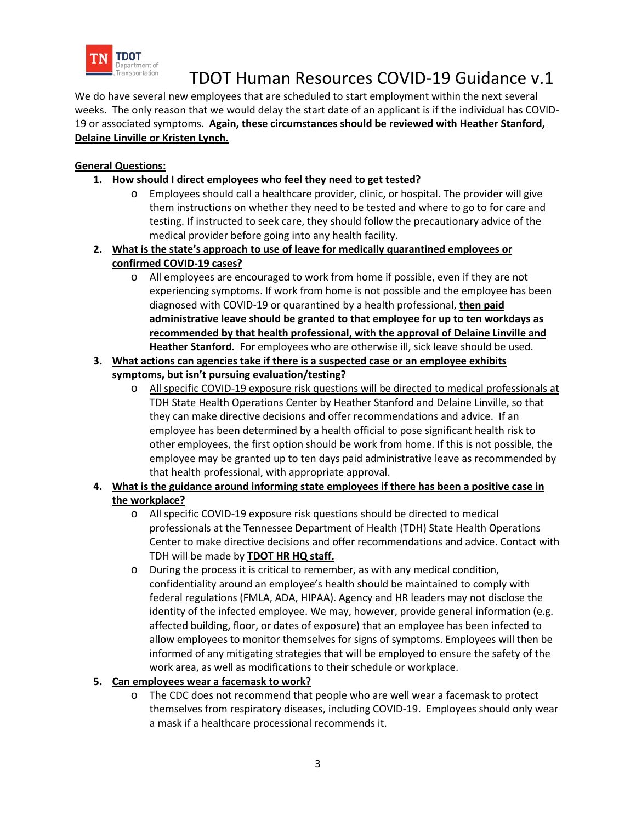

We do have several new employees that are scheduled to start employment within the next several weeks. The only reason that we would delay the start date of an applicant is if the individual has COVID-19 or associated symptoms. **Again, these circumstances should be reviewed with Heather Stanford, Delaine Linville or Kristen Lynch.**

### **General Questions:**

- **1. How should I direct employees who feel they need to get tested?**
	- o Employees should call a healthcare provider, clinic, or hospital. The provider will give them instructions on whether they need to be tested and where to go to for care and testing. If instructed to seek care, they should follow the precautionary advice of the medical provider before going into any health facility.
- **2. What is the state's approach to use of leave for medically quarantined employees or confirmed COVID-19 cases?**
	- o All employees are encouraged to work from home if possible, even if they are not experiencing symptoms. If work from home is not possible and the employee has been diagnosed with COVID-19 or quarantined by a health professional, **then paid administrative leave should be granted to that employee for up to ten workdays as recommended by that health professional, with the approval of Delaine Linville and Heather Stanford.** For employees who are otherwise ill, sick leave should be used.
- **3. What actions can agencies take if there is a suspected case or an employee exhibits symptoms, but isn't pursuing evaluation/testing?**
	- o All specific COVID-19 exposure risk questions will be directed to medical professionals at TDH State Health Operations Center by Heather Stanford and Delaine Linville, so that they can make directive decisions and offer recommendations and advice. If an employee has been determined by a health official to pose significant health risk to other employees, the first option should be work from home. If this is not possible, the employee may be granted up to ten days paid administrative leave as recommended by that health professional, with appropriate approval.
- **4. What is the guidance around informing state employees if there has been a positive case in the workplace?**
	- o All specific COVID-19 exposure risk questions should be directed to medical professionals at the Tennessee Department of Health (TDH) State Health Operations Center to make directive decisions and offer recommendations and advice. Contact with TDH will be made by **TDOT HR HQ staff.**
	- o During the process it is critical to remember, as with any medical condition, confidentiality around an employee's health should be maintained to comply with federal regulations (FMLA, ADA, HIPAA). Agency and HR leaders may not disclose the identity of the infected employee. We may, however, provide general information (e.g. affected building, floor, or dates of exposure) that an employee has been infected to allow employees to monitor themselves for signs of symptoms. Employees will then be informed of any mitigating strategies that will be employed to ensure the safety of the work area, as well as modifications to their schedule or workplace.

#### **5. Can employees wear a facemask to work?**

o The CDC does not recommend that people who are well wear a facemask to protect themselves from respiratory diseases, including COVID-19. Employees should only wear a mask if a healthcare processional recommends it.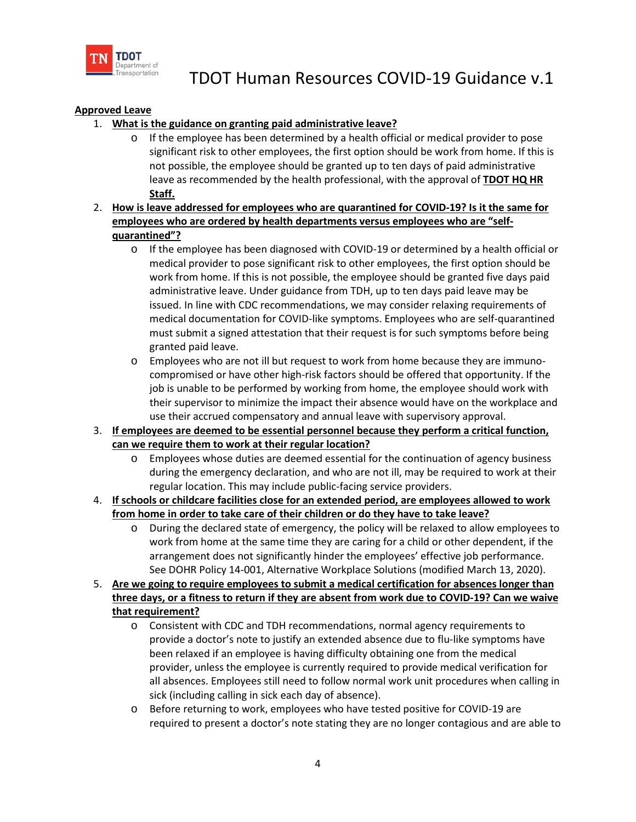

### **Approved Leave**

### 1. **What is the guidance on granting paid administrative leave?**

- $\circ$  If the employee has been determined by a health official or medical provider to pose significant risk to other employees, the first option should be work from home. If this is not possible, the employee should be granted up to ten days of paid administrative leave as recommended by the health professional, with the approval of **TDOT HQ HR Staff.**
- 2. **How is leave addressed for employees who are quarantined for COVID-19? Is it the same for employees who are ordered by health departments versus employees who are "selfquarantined"?**
	- $\circ$  If the employee has been diagnosed with COVID-19 or determined by a health official or medical provider to pose significant risk to other employees, the first option should be work from home. If this is not possible, the employee should be granted five days paid administrative leave. Under guidance from TDH, up to ten days paid leave may be issued. In line with CDC recommendations, we may consider relaxing requirements of medical documentation for COVID-like symptoms. Employees who are self-quarantined must submit a signed attestation that their request is for such symptoms before being granted paid leave.
	- o Employees who are not ill but request to work from home because they are immunocompromised or have other high-risk factors should be offered that opportunity. If the job is unable to be performed by working from home, the employee should work with their supervisor to minimize the impact their absence would have on the workplace and use their accrued compensatory and annual leave with supervisory approval.
- 3. **If employees are deemed to be essential personnel because they perform a critical function, can we require them to work at their regular location?**
	- o Employees whose duties are deemed essential for the continuation of agency business during the emergency declaration, and who are not ill, may be required to work at their regular location. This may include public-facing service providers.
- 4. **If schools or childcare facilities close for an extended period, are employees allowed to work from home in order to take care of their children or do they have to take leave?**
	- o During the declared state of emergency, the policy will be relaxed to allow employees to work from home at the same time they are caring for a child or other dependent, if the arrangement does not significantly hinder the employees' effective job performance. See DOHR Policy 14-001, Alternative Workplace Solutions (modified March 13, 2020).
- 5. **Are we going to require employees to submit a medical certification for absences longer than three days, or a fitness to return if they are absent from work due to COVID-19? Can we waive that requirement?**
	- o Consistent with CDC and TDH recommendations, normal agency requirements to provide a doctor's note to justify an extended absence due to flu-like symptoms have been relaxed if an employee is having difficulty obtaining one from the medical provider, unless the employee is currently required to provide medical verification for all absences. Employees still need to follow normal work unit procedures when calling in sick (including calling in sick each day of absence).
	- o Before returning to work, employees who have tested positive for COVID-19 are required to present a doctor's note stating they are no longer contagious and are able to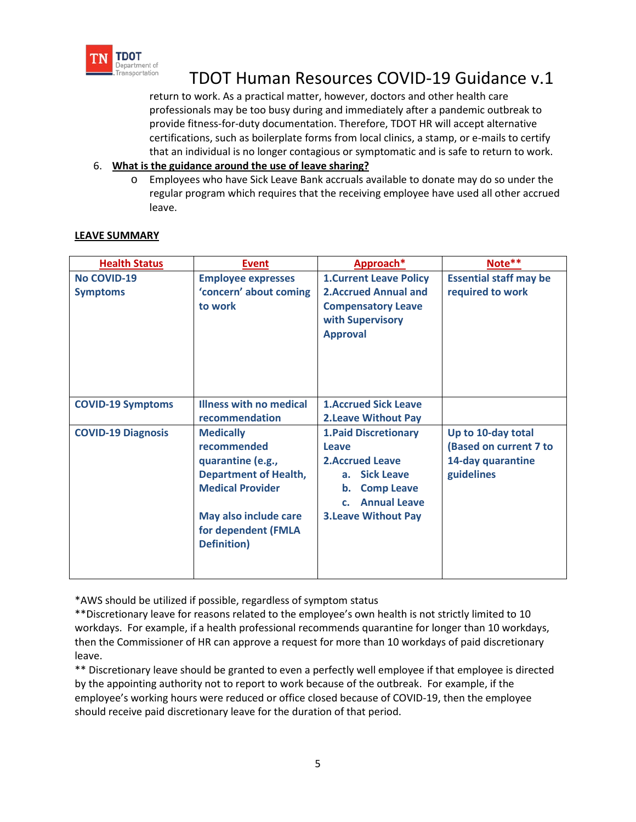

return to work. As a practical matter, however, doctors and other health care professionals may be too busy during and immediately after a pandemic outbreak to provide fitness-for-duty documentation. Therefore, TDOT HR will accept alternative certifications, such as boilerplate forms from local clinics, a stamp, or e-mails to certify that an individual is no longer contagious or symptomatic and is safe to return to work.

### 6. **What is the guidance around the use of leave sharing?**

o Employees who have Sick Leave Bank accruals available to donate may do so under the regular program which requires that the receiving employee have used all other accrued leave.

| <b>Health Status</b>      | <b>Event</b>                   | Approach*                      | Note**                        |
|---------------------------|--------------------------------|--------------------------------|-------------------------------|
| No COVID-19               | <b>Employee expresses</b>      | <b>1. Current Leave Policy</b> | <b>Essential staff may be</b> |
| <b>Symptoms</b>           | 'concern' about coming         | <b>2. Accrued Annual and</b>   | required to work              |
|                           | to work                        | <b>Compensatory Leave</b>      |                               |
|                           |                                | with Supervisory               |                               |
|                           |                                | <b>Approval</b>                |                               |
|                           |                                |                                |                               |
|                           |                                |                                |                               |
|                           |                                |                                |                               |
| <b>COVID-19 Symptoms</b>  | <b>Illness with no medical</b> | <b>1.Accrued Sick Leave</b>    |                               |
|                           | recommendation                 | <b>2.Leave Without Pay</b>     |                               |
| <b>COVID-19 Diagnosis</b> | <b>Medically</b>               | <b>1. Paid Discretionary</b>   | Up to 10-day total            |
|                           | recommended                    | Leave                          | (Based on current 7 to        |
|                           | quarantine (e.g.,              | <b>2.Accrued Leave</b>         | 14-day quarantine             |
|                           | <b>Department of Health,</b>   | <b>Sick Leave</b><br>a.        | guidelines                    |
|                           | <b>Medical Provider</b>        | <b>Comp Leave</b><br>b.        |                               |
|                           |                                | <b>Annual Leave</b><br>c.      |                               |
|                           | May also include care          | <b>3.Leave Without Pay</b>     |                               |
|                           | for dependent (FMLA            |                                |                               |
|                           | <b>Definition</b> )            |                                |                               |
|                           |                                |                                |                               |
|                           |                                |                                |                               |

#### **LEAVE SUMMARY**

\*AWS should be utilized if possible, regardless of symptom status

\*\*Discretionary leave for reasons related to the employee's own health is not strictly limited to 10 workdays. For example, if a health professional recommends quarantine for longer than 10 workdays, then the Commissioner of HR can approve a request for more than 10 workdays of paid discretionary leave.

\*\* Discretionary leave should be granted to even a perfectly well employee if that employee is directed by the appointing authority not to report to work because of the outbreak. For example, if the employee's working hours were reduced or office closed because of COVID-19, then the employee should receive paid discretionary leave for the duration of that period.